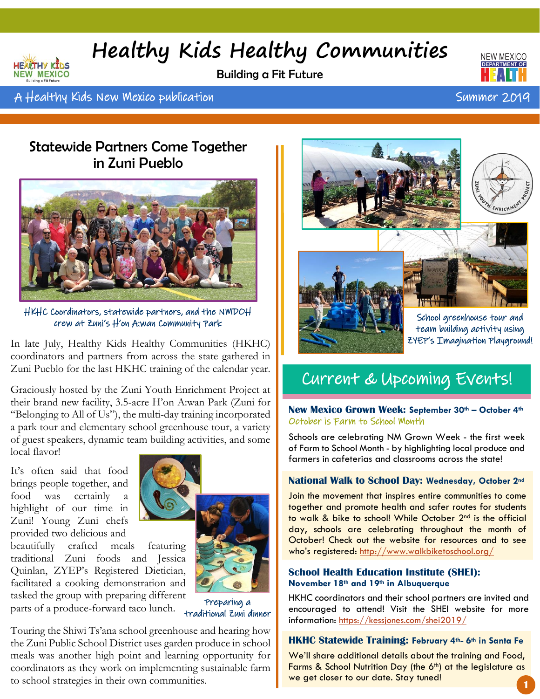## **Healthy Kids Healthy Communities**

Building a Fit Future



A Healthy Kids New Mexico publication Summer 2019 A Linux Summer 2019

**NEW MEXICO** 

### Statewide Partners Come Together in Zuni Pueblo



HKHC Coordinators, statewide partners, and the NMDOH crew at Zuni's H'on A:wan Community Park

In late July, Healthy Kids Healthy Communities (HKHC) coordinators and partners from across the state gathered in Zuni Pueblo for the last HKHC training of the calendar year.

Graciously hosted by the Zuni Youth Enrichment Project at their brand new facility, 3.5-acre H'on A:wan Park (Zuni for "Belonging to All of Us"), the multi-day training incorporated a park tour and elementary school greenhouse tour, a variety of guest speakers, dynamic team building activities, and some local flavor!

It's often said that food brings people together, and food was certainly highlight of our time in Zuni! Young Zuni chefs provided two delicious and

beautifully crafted meals featuring traditional Zuni foods and Jessica Quinlan, ZYEP's Registered Dietician, facilitated a cooking demonstration and tasked the group with preparing different parts of a produce-forward taco lunch.



Preparing a traditional Zuni dinner

Touring the Shiwi Ts'ana school greenhouse and hearing how the Zuni Public School District uses garden produce in school meals was another high point and learning opportunity for coordinators as they work on implementing sustainable farm to school strategies in their own communities.



### Current & Upcoming Events!

**New Mexico Grown Week: September 30th – October 4th** October is Farm to School Month

Schools are celebrating NM Grown Week - the first week of Farm to School Month - by highlighting local produce and farmers in cafeterias and classrooms across the state!

#### **National Walk to School Day: Wednesday, October 2nd**

Join the movement that inspires entire communities to come together and promote health and safer routes for students to walk & bike to school! While October 2<sup>nd</sup> is the official day, schools are celebrating throughout the month of October! Check out the website for resources and to see who's registered: <http://www.walkbiketoschool.org/>

#### **School Health Education Institute (SHEI): November 18th and 19th in Albuquerque**

HKHC coordinators and their school partners are invited and encouraged to attend! Visit the SHEI website for more information: <https://kessjones.com/shei2019/>

#### **HKHC Statewide Training: February 4th- 6th in Santa Fe**

We'll share additional details about the training and Food, Farms & School Nutrition Day (the  $6<sup>th</sup>$ ) at the legislature as we get closer to our date. Stay tuned!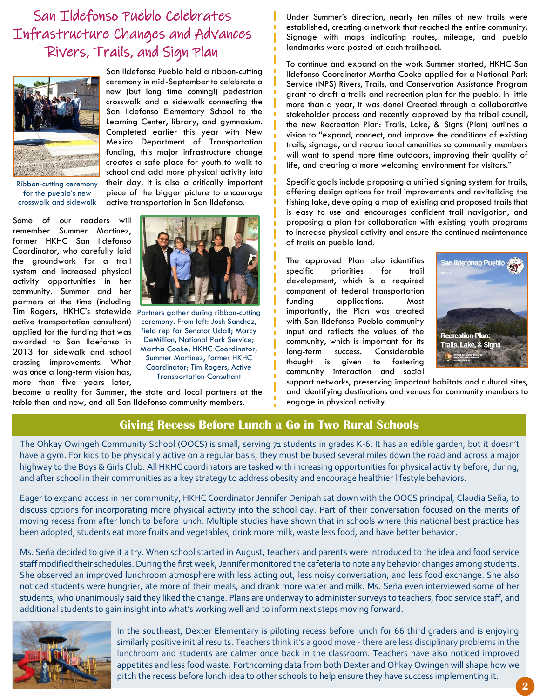### San Ildefonso Pueblo Celebrates Infrastructure Changes and Advances Rivers, Trails, and Sign Plan



San Ildefonso Pueblo held a ribbon-cutting ceremony in mid-September to celebrate a new (but long time coming!) pedestrian crosswalk and a sidewalk connecting the San Ildefonso Elementary School to the Learning Center, library, and gymnasium. Completed earlier this year with New Mexico Department of Transportation funding, this major infrastructure change creates a safe place for youth to walk to school and add more physical activity into their day. It is also a critically important piece of the bigger picture to encourage active transportation in San Ildefonso.

Ribbon-cutting ceremony for the pueblo's new crosswalk and sidewalk

Some of our readers will remember Summer Martinez, former HKHC San Ildefonso Coordinator, who carefully laid the groundwork for a trail system and increased physical activity opportunities in her community. Summer and her partners at the time (including Tim Rogers, HKHC's statewide Partners gather during ribbon-cutting active transportation consultant) applied for the funding that was awarded to San Ildefonso in 2013 for sidewalk and school crossing improvements. What was once a long-term vision has, more than five years later,



ceremony. From left: Josh Sanchez, field rep for Senator Udall; Marcy DeMillion, National Park Service; Martha Cooke; HKHC Coordinator; Summer Martinez, former HKHC Coordinator; Tim Rogers, Active Transportation Consultant

become a reality for Summer, the state and local partners at the table then and now, and all San Ildefonso community members.

Under Summer's direction, nearly ten miles of new trails were established, creating a network that reached the entire community. Signage with maps indicating routes, mileage, and pueblo landmarks were posted at each trailhead.

To continue and expand on the work Summer started, HKHC San Ildefonso Coordinator Martha Cooke applied for a National Park Service (NPS) Rivers, Trails, and Conservation Assistance Program grant to draft a trails and recreation plan for the pueblo. In little more than a year, it was done! Created through a collaborative stakeholder process and recently approved by the tribal council, the new Recreation Plan: Trails, Lake, & Signs (Plan) outlines a vision to "expand, connect, and improve the conditions of existing trails, signage, and recreational amenities so community members will want to spend more time outdoors, improving their quality of life, and creating a more welcoming environment for visitors."

Specific goals include proposing a unified signing system for trails, offering design options for trail improvements and revitalizing the fishing lake, developing a map of existing and proposed trails that is easy to use and encourages confident trail navigation, and proposing a plan for collaboration with existing youth programs to increase physical activity and ensure the continued maintenance of trails on pueblo land.

The approved Plan also identifies specific priorities for trail development, which is a required component of federal transportation funding applications. Most importantly, the Plan was created with San Ildefonso Pueblo community input and reflects the values of the community, which is important for its long-term success. Considerable thought is given to fostering community interaction and social



support networks, preserving important habitats and cultural sites, and identifying destinations and venues for community members to engage in physical activity.

#### **Giving Recess Before Lunch a Go in Two Rural Schools**

The Ohkay Owingeh Community School (OOCS) is small, serving 71 students in grades K-6. It has an edible garden, but it doesn't have a gym. For kids to be physically active on a regular basis, they must be bused several miles down the road and across a major highway to the Boys & Girls Club. All HKHC coordinators are tasked with increasing opportunities for physical activity before, during, and after school in their communities as a key strategy to address obesity and encourage healthier lifestyle behaviors.

Eager to expand access in her community, HKHC Coordinator Jennifer Denipah sat down with the OOCS principal, Claudia Seña, to discuss options for incorporating more physical activity into the school day. Part of their conversation focused on the merits of moving recess from after lunch to before lunch. Multiple studies have shown that in schools where this national best practice has been adopted, students eat more fruits and vegetables, drink more milk, waste less food, and have better behavior.

Ms. Seña decided to give it a try. When school started in August, teachers and parents were introduced to the idea and food service staff modified their schedules. During the first week, Jennifer monitored the cafeteria to note any behavior changes among students. She observed an improved lunchroom atmosphere with less acting out, less noisy conversation, and less food exchange. She also noticed students were hungrier, ate more of their meals, and drank more water and milk. Ms. Seña even interviewed some of her students, who unanimously said they liked the change. Plans are underway to administer surveys to teachers, food service staff, and additional students to gain insight into what's working well and to inform next steps moving forward.



In the southeast, Dexter Elementary is piloting recess before lunch for 66 third graders and is enjoying similarly positive initial results. Teachers think it's a good move - there are less disciplinary problems in the lunchroom and students are calmer once back in the classroom. Teachers have also noticed improved appetites and less food waste. Forthcoming data from both Dexter and Ohkay Owingeh will shape how we pitch the recess before lunch idea to other schools to help ensure they have success implementing it.